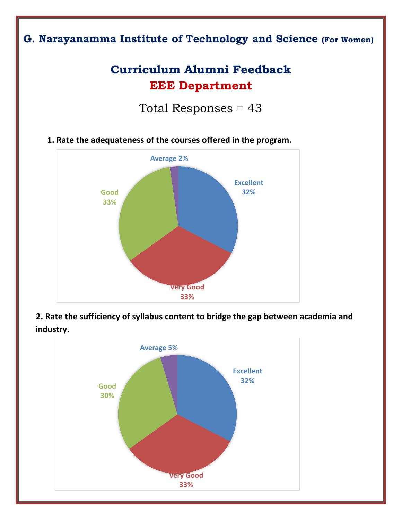## **G. Narayanamma Institute of Technology and Science (For Women)**

# **Curriculum Alumni Feedback EEE Department**

Total Responses = 43





 **2. Rate the sufficiency of syllabus content to bridge the gap between academia and industry.**

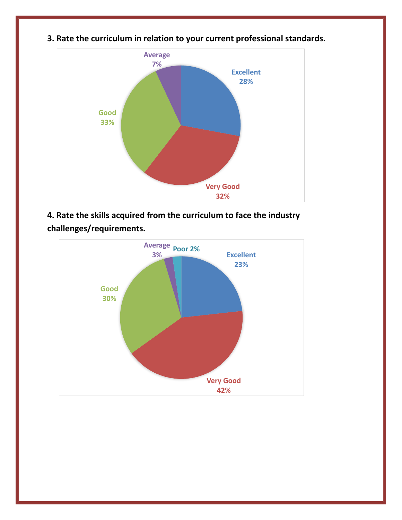

**3. Rate the curriculum in relation to your current professional standards.**

**4. Rate the skills acquired from the curriculum to face the industry challenges/requirements.**

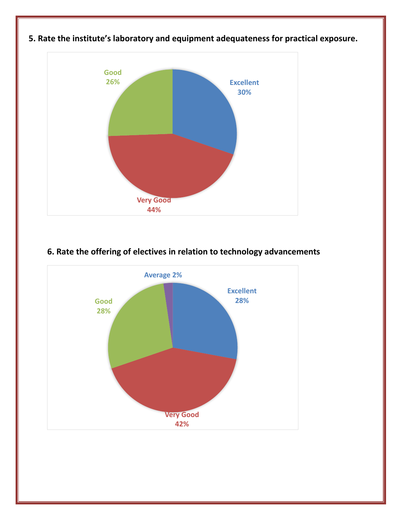

### **5. Rate the institute's laboratory and equipment adequateness for practical exposure.**

#### **6. Rate the offering of electives in relation to technology advancements**

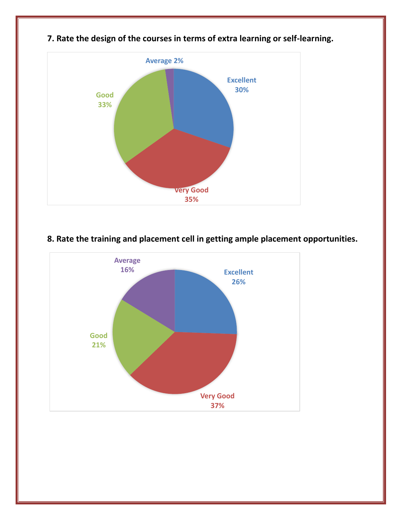

## **7. Rate the design of the courses in terms of extra learning or self-learning.**

#### **8. Rate the training and placement cell in getting ample placement opportunities.**